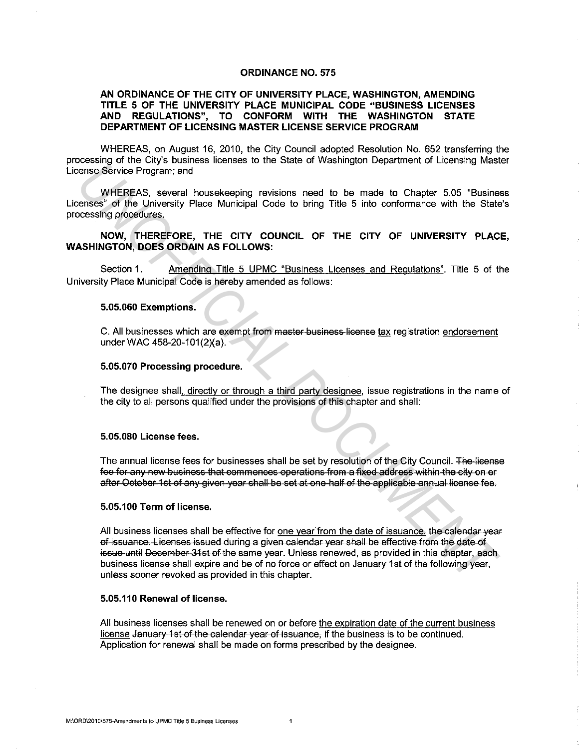### **ORDINANCE NO. 575**

# **AN ORDINANCE OF THE CITY OF UNIVERSITY PLACE, WASHINGTON, AMENDING TITLE 5 OF THE UNIVERSITY PLACE MUNICIPAL CODE "BUSINESS LICENSES AND REGULATIONS", TO CONFORM WITH THE WASHINGTON STATE DEPARTMENT OF LICENSING MASTER LICENSE SERVICE PROGRAM**

WHEREAS, on August 16, 2010, the City Council adopted Resolution No. 652 transferring the processing of the City's business licenses to the State of Washington Department of Licensing Master License Service Program; and

WHEREAS, several housekeeping revisions need to be made to Chapter 5.05 "Business" Licenses" of the University Place Municipal Code to bring Title 5 into conformance with the State's processing procedures.

## **NOW, THEREFORE, THE CITY COUNCIL OF THE CITY OF UNIVERSITY PLACE, WASHINGTON, DOES ORDAIN AS FOLLOWS:**

Section 1. Amending Title 5 UPMC "Business Licenses and Regulations". Title 5 of the University Place Municipal Code is hereby amended as follows:

#### **5.05.060 Exemptions.**

C. All businesses which are exempt from master business license tax registration endorsement under WAC 458-20-101(2)(a).

### **5.05.070 Processing procedure.**

The designee shall, directly or through a third party designee, issue registrations in the name of the city to all persons qualified under the provisions of this chapter and shall:

# **5.05.080 License fees.**

The annual license fees for businesses shall be set by resolution of the City Council. The license fee for any new business that commences operations from a fixed address within the city on or after October 1st of any given year shall be set at one half of the applicable annual license fee.

### **5.05.100 Term of license.**

All business licenses shall be effective for one year'from the date of issuance. the calendar year of issuance. Licenses issued during a given calendar year shall be effective from the date of issue until December 31st of the same year. Unless renewed, as provided in this chapter, each business license shall expire and be of no force or effect on January 1st of the following year, unless sooner revoked as provided in this chapter. Accounts of the Counter of Excells and the Counter of Excells and the Counter of Excells and the Counter Service Program; and<br> **UNEFICIAL Service Program;** and<br> **UNEFICIAL DOCUMENTAL COUNCIL OF THE CITY OF UNIVERSITY PLAC** 

### **5.05. 110 Renewal of license.**

All business licenses shall be renewed on or before the expiration date of the current business license January 1st of the calendar year of issuance, if the business is to be continued. Application for renewal shall be made on forms prescribed by the designee.

 $\mathbf{1}$